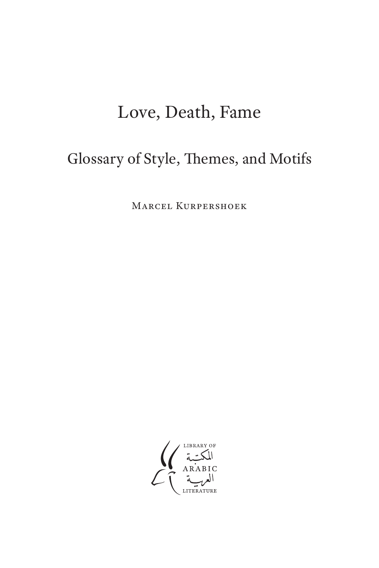# Love, Death, Fame

# Glossary of Style, Themes, and Motifs

Marcel Kurpershoek

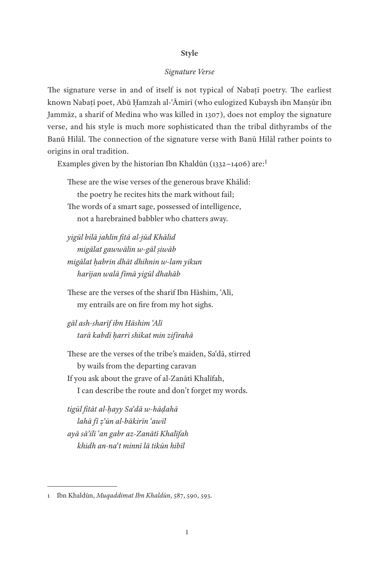### **Style**

#### *Signature Verse*

The signature verse in and of itself is not typical of Nabaṭī poetry. The earliest known Nabaṭī poet, Abū Ḥamzah al-ʿĀmirī (who eulogized Kubaysh ibn Manṣūr ibn Jammāz, a sharif of Medina who was killed in 1307), does not employ the signature verse, and his style is much more sophisticated than the tribal dithyrambs of the Banū Hilāl. The connection of the signature verse with Banū Hilāl rather points to origins in oral tradition.

Examples given by the historian Ibn Khaldūn (1332−1406) are:1

These are the wise verses of the generous brave Khālid: the poetry he recites hits the mark without fail; The words of a smart sage, possessed of intelligence, not a harebrained babbler who chatters away.

*yigūl bilā jahlin fitā al-jūd Khālid migālat gawwālin w-gāl ṣiwāb migālat ḥabrin dhāt dhihnin w-lam yikun harījan walā fīmā yigūl dhahāb*

These are the verses of the sharif Ibn Hāshim, ʿAlī, my entrails are on fire from my hot sighs.

*gāl ash-sharīf ibn Hāshim ʿAlī tarā kabdī ḥarrī shikat min zifīrahā*

These are the verses of the tribe's maiden, Saʿdā, stirred by wails from the departing caravan If you ask about the grave of al-Zanātī Khalīfah, I can describe the route and don't forget my words.

*tigūl fitāt al-ḥayy Saʿdā w-hāḍahā lahā fī ẓʿūn al-bākirīn ʿawīl ayā sāʾilī ʿan gabr az-Zanātī Khalīfah khidh an-naʿt minnī lā tikūn hibīl*

<sup>1</sup> Ibn Khaldūn, *Muqaddimat Ibn Khaldūn*, 587, 590, 593.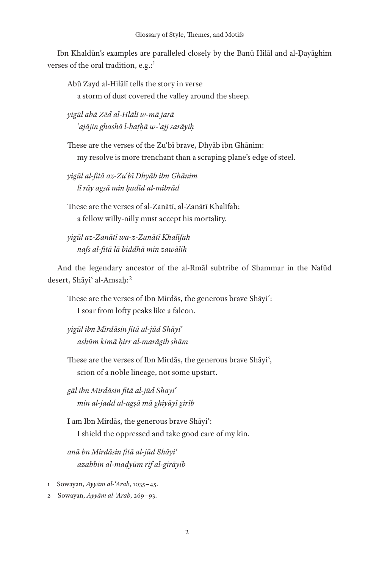Ibn Khaldūn's examples are paralleled closely by the Banū Hilāl and al-Ḍayāghim verses of the oral tradition, e.g.:<sup>1</sup>

Abū Zayd al-Hilālī tells the story in verse a storm of dust covered the valley around the sheep.

*yigūl abā Zēd al-Hlālī w-mā jarā ʿajājin ghashā l-baṭḥā w-ʿajj sarāyiḥ*

These are the verses of the Zuʿbī brave, Dhyāb ibn Ghānim: my resolve is more trenchant than a scraping plane's edge of steel.

*yigūl al-fitā az-Zuʿbī Dhyāb ibn Ghānim lī rāy agsā min ḥadīd al-mibrād*

These are the verses of al-Zanātī, al-Zanātī Khalīfah: a fellow willy-nilly must accept his mortality.

*yigūl az-Zanātī wa-z-Zanātī Khalīfah nafs al-fitā lā biddhā min zawālih*

And the legendary ancestor of the al-Rmāl subtribe of Shammar in the Nafūd desert, Shāyi' al-Amsaḥ:<sup>2</sup>

These are the verses of Ibn Mirdās, the generous brave Shāyiʿ: I soar from lofty peaks like a falcon.

*yigūl ibn Mirdāsin fitā al-jūd Shāyiʿ ashūm kimā ḥirr al-marāgib shām*

These are the verses of Ibn Mirdās, the generous brave Shāyiʿ, scion of a noble lineage, not some upstart.

*gāl ibn Mirdāsin fitā al-jūd Shayiʿ min al-jadd al-agṣā mā ghiyāyī girīb*

I am Ibn Mirdās, the generous brave Shāyiʿ: I shield the oppressed and take good care of my kin.

*anā bn Mirdāsin fitā al-jūd Shāyiʿ azabbin al-maḍyūm rīf al-girāyib*

<sup>1</sup> Sowayan, *Ayyām al-ʿArab*, 1035−45.

<sup>2</sup> Sowayan, *Ayyām al-ʿArab*, 269−93.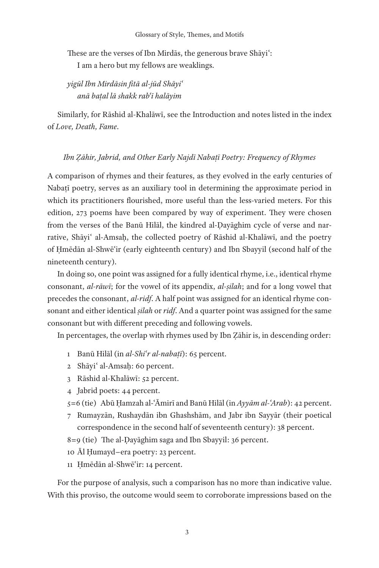These are the verses of Ibn Mirdās, the generous brave Shāyiʿ: I am a hero but my fellows are weaklings.

*yigūl Ibn Mirdāsin fitā al-jūd Shāyiʿ anā baṭal lā shakk rabʿī halāyim*

Similarly, for Rāshid al-Khalāwī, see the Introduction and notes listed in the index of *Love, Death, Fame*.

## *Ibn Ẓāhir, Jabrid, and Other Early Najdī Nabaṭī Poetry: Frequency of Rhymes*

A comparison of rhymes and their features, as they evolved in the early centuries of Nabaṭī poetry, serves as an auxiliary tool in determining the approximate period in which its practitioners flourished, more useful than the less-varied meters. For this edition, 273 poems have been compared by way of experiment. They were chosen from the verses of the Banū Hilāl, the kindred al-Ḍayāghim cycle of verse and narrative, Shāyi' al-Amsaḥ, the collected poetry of Rāshid al-Khalāwī, and the poetry of Ḥmēdān al-Shwēʿir (early eighteenth century) and Ibn Sbayyil (second half of the nineteenth century).

In doing so, one point was assigned for a fully identical rhyme, i.e., identical rhyme consonant, *al-rāwī*; for the vowel of its appendix, *al-ṣilah*; and for a long vowel that precedes the consonant, *al-ridf*. A half point was assigned for an identical rhyme consonant and either identical *ṣilah* or *ridf*. And a quarter point was assigned for the same consonant but with different preceding and following vowels.

In percentages, the overlap with rhymes used by Ibn Ẓāhir is, in descending order:

- 1 Banū Hilāl (in *al-Shiʿr al-nabaṭī*): 65 percent.
- 2 Shāyiʿ al-Amsaḥ: 60 percent.
- 3 Rāshid al-Khalāwī: 52 percent.
- 4 Jabrid poets: 44 percent.
- 5=6 (tie) Abū Ḥamzah al-ʿĀmirī and Banū Hilāl (in *Ayyām al-ʿArab*): 42 percent.
- 7 Rumayzān, Rushaydān ibn Ghashshām, and Jabr ibn Sayyār (their poetical correspondence in the second half of seventeenth century): 38 percent.
- 8=9 (tie) The al-Ḍayāghim saga and Ibn Sbayyil: 36 percent.
- 10 Āl Ḥumayd−era poetry: 23 percent.
- 11 Ḥmēdān al-Shwēʿir: 14 percent.

For the purpose of analysis, such a comparison has no more than indicative value. With this proviso, the outcome would seem to corroborate impressions based on the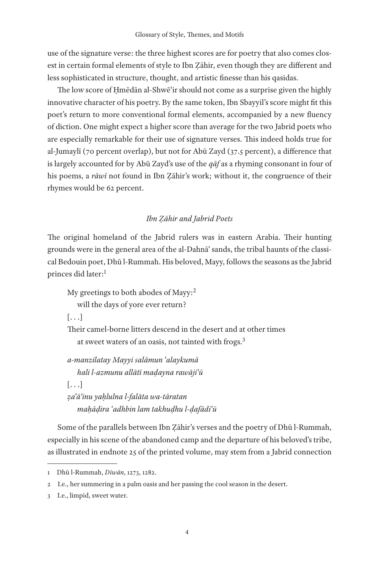use of the signature verse: the three highest scores are for poetry that also comes closest in certain formal elements of style to Ibn Ẓāhir, even though they are different and less sophisticated in structure, thought, and artistic finesse than his qasidas.

The low score of Ḥmēdān al-Shwēʿir should not come as a surprise given the highly innovative character of his poetry. By the same token, Ibn Sbayyil's score might fit this poet's return to more conventional formal elements, accompanied by a new fluency of diction. One might expect a higher score than average for the two Jabrid poets who are especially remarkable for their use of signature verses. This indeed holds true for al-Jumaylī (70 percent overlap), but not for Abū Zayd (37.5 percent), a difference that is largely accounted for by Abū Zayd's use of the *qāf* as a rhyming consonant in four of his poems, a *rāwī* not found in Ibn Ẓāhir's work; without it, the congruence of their rhymes would be 62 percent.

# *Ibn Ẓāhir and Jabrid Poets*

The original homeland of the Jabrid rulers was in eastern Arabia. Their hunting grounds were in the general area of the al-Dahnāʾ sands, the tribal haunts of the classical Bedouin poet, Dhū l-Rummah. His beloved, Mayy, follows the seasons as the Jabrid princes did later:<sup>1</sup>

My greetings to both abodes of Mayy:<sup>2</sup> will the days of yore ever return?  $[ \ldots]$ Their camel-borne litters descend in the desert and at other times at sweet waters of an oasis, not tainted with frogs.3 *a-manzilatay Mayyi salāmun ʿalaykumā hali l-azmunu allātī maḍayna rawājiʿū*  $\left[ \ldots \right]$ *ẓaʿāʾinu yaḥlulna l-falāta wa-tāratan*

*maḥāḍira ʿadhbin lam takhuḍhu l-ḍafādiʿū*

Some of the parallels between Ibn Ẓāhir's verses and the poetry of Dhū l-Rummah, especially in his scene of the abandoned camp and the departure of his beloved's tribe, as illustrated in endnote 25 of the printed volume, may stem from a Jabrid connection

<sup>1</sup> Dhū l-Rummah, *Dīwān*, 1273, 1282.

<sup>2</sup> I.e., her summering in a palm oasis and her passing the cool season in the desert.

<sup>3</sup> I.e., limpid, sweet water.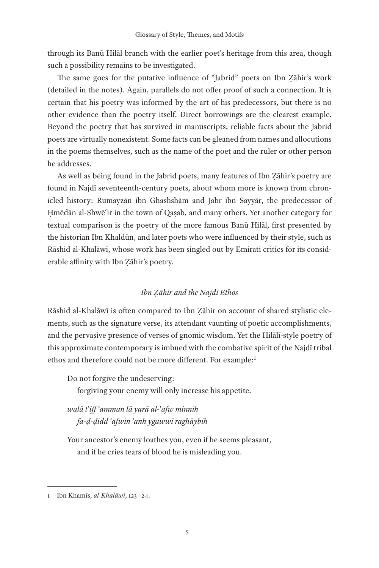through its Banū Hilāl branch with the earlier poet's heritage from this area, though such a possibility remains to be investigated.

The same goes for the putative influence of "Jabrid" poets on Ibn Ẓāhir's work (detailed in the notes). Again, parallels do not offer proof of such a connection. It is certain that his poetry was informed by the art of his predecessors, but there is no other evidence than the poetry itself. Direct borrowings are the clearest example. Beyond the poetry that has survived in manuscripts, reliable facts about the Jabrid poets are virtually nonexistent. Some facts can be gleaned from names and allocutions in the poems themselves, such as the name of the poet and the ruler or other person he addresses.

As well as being found in the Jabrid poets, many features of Ibn Ẓāhir's poetry are found in Najdī seventeenth-century poets, about whom more is known from chronicled history: Rumayzān ibn Ghashshām and Jabr ibn Sayyār, the predecessor of Ḥmēdān al-Shwēʿir in the town of Qaṣab, and many others. Yet another category for textual comparison is the poetry of the more famous Banū Hilāl, first presented by the historian Ibn Khaldūn, and later poets who were influenced by their style, such as Rāshid al-Khalāwī, whose work has been singled out by Emirati critics for its considerable affinity with Ibn Ẓāhir's poetry.

## *Ibn Ẓāhir and the Najdī Ethos*

Rāshid al-Khalāwī is often compared to Ibn Ẓāhir on account of shared stylistic elements, such as the signature verse, its attendant vaunting of poetic accomplishments, and the pervasive presence of verses of gnomic wisdom. Yet the Hilālī-style poetry of this approximate contemporary is imbued with the combative spirit of the Najdī tribal ethos and therefore could not be more different. For example:<sup>1</sup>

Do not forgive the undeserving:

forgiving your enemy will only increase his appetite.

*walā tʿiff ʿamman lā yarā al-ʿafw minnih fa-ḍ-ḍidd ʿafwin ʿanh ygawwī raghāybih*

Your ancestor's enemy loathes you, even if he seems pleasant, and if he cries tears of blood he is misleading you.

<sup>1</sup> Ibn Khamīs, *al-Khalāwī*, 123−24.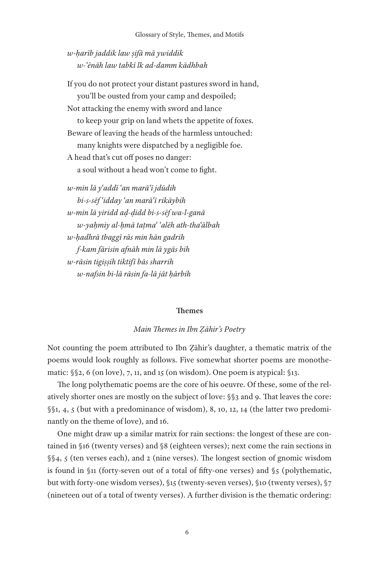*w-ḥarīb jaddik law ṣifā mā ywiddik w-ʿēnāh law tabkī lk ad-damm kādhbah*

If you do not protect your distant pastures sword in hand, you'll be ousted from your camp and despoiled; Not attacking the enemy with sword and lance to keep your grip on land whets the appetite of foxes. Beware of leaving the heads of the harmless untouched: many knights were dispatched by a negligible foe. A head that's cut off poses no danger: a soul without a head won't come to fight.

*w-min lā yʿaddī ʿan marāʿī jdūdih bi-s-sēf ʿidday ʿan marāʿī rikāybih w-min lā yiridd aḍ-ḍidd bi-s-sēf wa-l-ganā w-yaḥmiy al-ḥmā taṭmaʿ ʿalēh ath-thaʿālbah w-ḥadhrā tbaggī rās min hān gadrih f-kam fārisin afnāh min lā ygās bih w-rāsin tigiṣṣih tiktifī bās sharrih w-nafsin bi-lā rāsin fa-lā jāt ḥārbih*

#### **Themes**

*Main Themes in Ibn Ẓāhir's Poetry*

Not counting the poem attributed to Ibn Ẓāhir's daughter, a thematic matrix of the poems would look roughly as follows. Five somewhat shorter poems are monothematic: §§2, 6 (on love), 7, 11, and 15 (on wisdom). One poem is atypical: §13.

The long polythematic poems are the core of his oeuvre. Of these, some of the relatively shorter ones are mostly on the subject of love: §§3 and 9. That leaves the core: §§1, 4, 5 (but with a predominance of wisdom), 8, 10, 12, 14 (the latter two predominantly on the theme of love), and 16.

One might draw up a similar matrix for rain sections: the longest of these are contained in §16 (twenty verses) and §8 (eighteen verses); next come the rain sections in §§4, 5 (ten verses each), and 2 (nine verses). The longest section of gnomic wisdom is found in §11 (forty-seven out of a total of fifty-one verses) and §5 (polythematic, but with forty-one wisdom verses), §15 (twenty-seven verses), §10 (twenty verses), §7 (nineteen out of a total of twenty verses). A further division is the thematic ordering: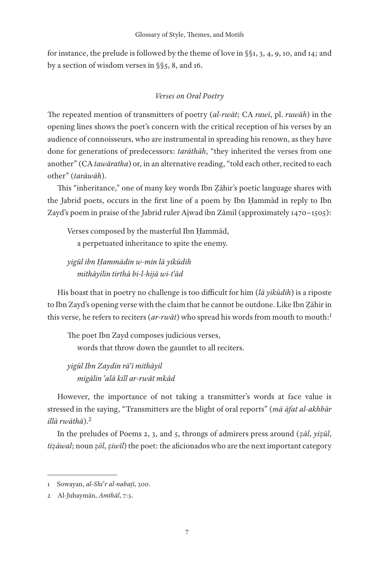for instance, the prelude is followed by the theme of love in §§1, 3, 4, 9, 10, and 14; and by a section of wisdom verses in §§5, 8, and 16.

# *Verses on Oral Poetry*

The repeated mention of transmitters of poetry (*al-rwāt*; CA *rawī*, pl. *ruwāh*) in the opening lines shows the poet's concern with the critical reception of his verses by an audience of connoisseurs, who are instrumental in spreading his renown, as they have done for generations of predecessors: *tarāthāh*, "they inherited the verses from one another" (CA *tawāratha*) or, in an alternative reading, "told each other, recited to each other" (*tarāwāh*).

This "inheritance," one of many key words Ibn Ẓāhir's poetic language shares with the Jabrid poets, occurs in the first line of a poem by Ibn Ḥammād in reply to Ibn Zayd's poem in praise of the Jabrid ruler Ajwad ibn Zāmil (approximately 1470−1505):

Verses composed by the masterful Ibn Ḥammād, a perpetuated inheritance to spite the enemy.

*yigūl ibn Ḥammādin w-min lā yikūdih mithāyilin tirthā bi-l-hijā wi-tʿād*

His boast that in poetry no challenge is too difficult for him (*lā yikūdih*) is a riposte to Ibn Zayd's opening verse with the claim that he cannot be outdone. Like Ibn Ẓāhir in this verse, he refers to reciters (*ar-rwāt*) who spread his words from mouth to mouth:1

The poet Ibn Zayd composes judicious verses, words that throw down the gauntlet to all reciters.

*yigūl Ibn Zaydin rāʿī mithāyil migālin ʿalā kill ar-rwāt mkād*

However, the importance of not taking a transmitter's words at face value is stressed in the saying, "Transmitters are the blight of oral reports" (*mā āfat al-akhbār illā rwāthā*).2

In the preludes of Poems 2, 3, and 5, throngs of admirers press around (*ẓāl*, *yiẓūl*, *tiẓāwal*; noun *ẓōl*, *ẓiwīl*) the poet: the aficionados who are the next important category

<sup>1</sup> Sowayan, *al-Shiʿr al-nabaṭī*, 300.

<sup>2</sup> Al-Juhaymān, *Amthāl*, 7:5.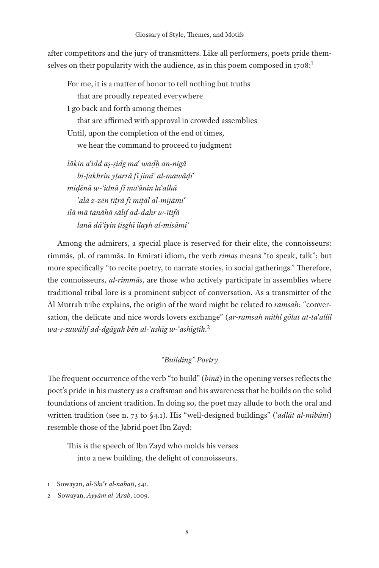after competitors and the jury of transmitters. Like all performers, poets pride themselves on their popularity with the audience, as in this poem composed in  $1708$ :<sup>1</sup>

For me, it is a matter of honor to tell nothing but truths that are proudly repeated everywhere I go back and forth among themes that are affirmed with approval in crowded assemblies Until, upon the completion of the end of times, we hear the command to proceed to judgment

*lākin aʿidd aṣ-ṣidg maʿ waḍḥ an-nigā bi-fakhrin yṭarrā fī jimī' al-mawāḍiʿ miḍēnā w-ʿidnā fī maʿānin laʿalhā ʿalā z-zēn tiṭrā fī miṭāl al-mijāmiʿ ilā mā tanāhā sālif ad-dahr w-ītifā lanā dāʿiyin tiṣghī ilayh al-misāmiʿ*

Among the admirers, a special place is reserved for their elite, the connoisseurs: rimmās, pl. of rammās. In Emirati idiom, the verb *rimas* means "to speak, talk"; but more specifically "to recite poetry, to narrate stories, in social gatherings." Therefore, the connoisseurs, *al-rimmās*, are those who actively participate in assemblies where traditional tribal lore is a prominent subject of conversation. As a transmitter of the Āl Murrah tribe explains, the origin of the word might be related to *ramsah*: "conversation, the delicate and nice words lovers exchange" (*ar-ramsah mithl gōlat at-taʿallil wa-s-suwālif ad-dgāgah bēn al-ʿashīg w-ʿashīgtih*. 2

# *"Building" Poetry*

The frequent occurrence of the verb "to build" (*binā*) in the opening verses reflects the poet's pride in his mastery as a craftsman and his awareness that he builds on the solid foundations of ancient tradition. In doing so, the poet may allude to both the oral and written tradition (see n. 73 to §4.1). His "well-designed buildings" (*ʿadlāt al-mibāni*) resemble those of the Jabrid poet Ibn Zayd:

This is the speech of Ibn Zayd who molds his verses into a new building, the delight of connoisseurs.

<sup>1</sup> Sowayan, *al-Shiʿr al-nabaṭī*, 541.

<sup>2</sup> Sowayan, *Ayyām al-ʿArab*, 1009.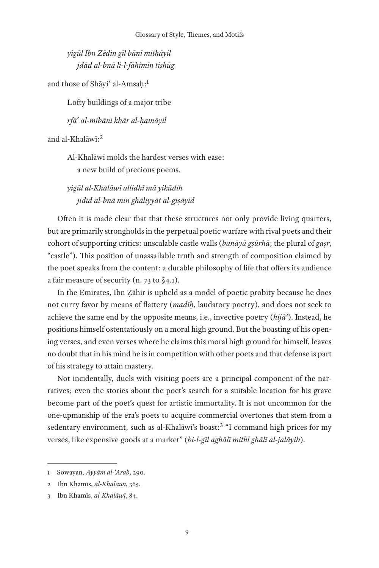*yigūl Ibn Zēdin gīl bānī mithāyil jdād al-bnā li-l-fāhimīn tishūg*

and those of Shāyi' al-Amsaḥ:<sup>1</sup>

Lofty buildings of a major tribe

*rfāʿ al-mibāni kbār al-ḥamāyil*

and al-Khalāwī:2

Al-Khalāwī molds the hardest verses with ease: a new build of precious poems.

*yigūl al-Khalāwī allidhī mā yikūdih jidīd al-bnā min ghāliyyāt al-giṣāyid*

Often it is made clear that that these structures not only provide living quarters, but are primarily strongholds in the perpetual poetic warfare with rival poets and their cohort of supporting critics: unscalable castle walls (*banāyā gṣūrhā*; the plural of *gaṣr*, "castle"). This position of unassailable truth and strength of composition claimed by the poet speaks from the content: a durable philosophy of life that offers its audience a fair measure of security (n. 73 to §4.1).

In the Emirates, Ibn Ẓāhir is upheld as a model of poetic probity because he does not curry favor by means of flattery (*madīḥ*, laudatory poetry), and does not seek to achieve the same end by the opposite means, i.e., invective poetry (*hijāʾ*). Instead, he positions himself ostentatiously on a moral high ground. But the boasting of his opening verses, and even verses where he claims this moral high ground for himself, leaves no doubt that in his mind he is in competition with other poets and that defense is part of his strategy to attain mastery.

Not incidentally, duels with visiting poets are a principal component of the narratives; even the stories about the poet's search for a suitable location for his grave become part of the poet's quest for artistic immortality. It is not uncommon for the one-upmanship of the era's poets to acquire commercial overtones that stem from a sedentary environment, such as al-Khalāwī's boast:<sup>3</sup> "I command high prices for my verses, like expensive goods at a market" (*bi-l-gīl aghālī mithl ghālī al-jalāyib*).

<sup>1</sup> Sowayan, *Ayyām al-ʿArab*, 290.

<sup>2</sup> Ibn Khamīs, *al-Khalāwī*, 365.

<sup>3</sup> Ibn Khamīs, *al-Khalāwī*, 84.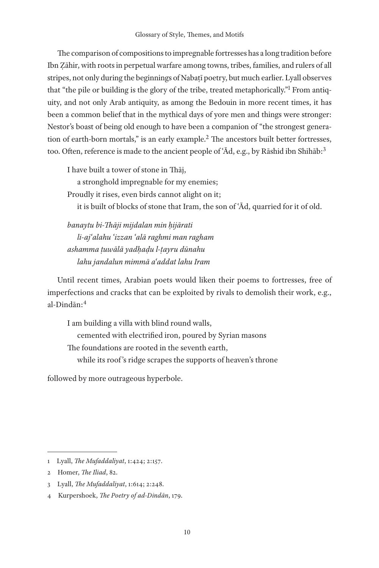The comparison of compositions to impregnable fortresses has a long tradition before Ibn Ẓāhir, with roots in perpetual warfare among towns, tribes, families, and rulers of all stripes, not only during the beginnings of Nabaṭī poetry, but much earlier. Lyall observes that "the pile or building is the glory of the tribe, treated metaphorically."<sup>1</sup> From antiquity, and not only Arab antiquity, as among the Bedouin in more recent times, it has been a common belief that in the mythical days of yore men and things were stronger: Nestor's boast of being old enough to have been a companion of "the strongest generation of earth-born mortals," is an early example.2 The ancestors built better fortresses, too. Often, reference is made to the ancient people of ʿĀd, e.g., by Rāshid ibn Shihāb:3

I have built a tower of stone in Thāj,

a stronghold impregnable for my enemies;

Proudly it rises, even birds cannot alight on it;

it is built of blocks of stone that Iram, the son of ʿĀd, quarried for it of old.

*banaytu bi-Thāji mijdalan min ḥijārati li-ajʿalahu ʿizzan ʿalā raghmi man ragham ashamma ṭuwālā yadḥaḍu l-ṭayru dūnahu lahu jandalun mimmā aʿaddat lahu Iram*

Until recent times, Arabian poets would liken their poems to fortresses, free of imperfections and cracks that can be exploited by rivals to demolish their work, e.g., al-Dindān:4

I am building a villa with blind round walls, cemented with electrified iron, poured by Syrian masons The foundations are rooted in the seventh earth, while its roof 's ridge scrapes the supports of heaven's throne

followed by more outrageous hyperbole.

<sup>1</sup> Lyall, *The Mufaddaliyat*, 1:424; 2:157.

<sup>2</sup> Homer, *The Iliad*, 82.

<sup>3</sup> Lyall, *The Mufaddaliyat*, 1:614; 2:248.

<sup>4</sup> Kurpershoek, *The Poetry of ad-Dindān*, 179.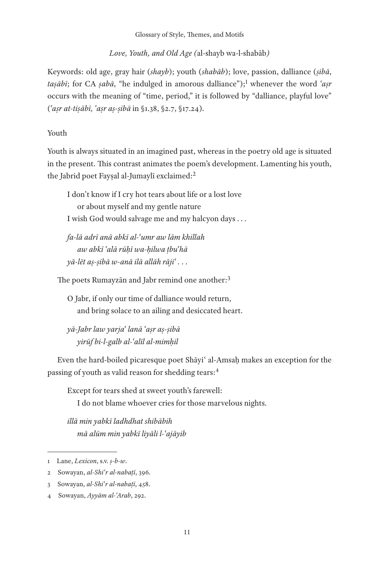Glossary of Style, Themes, and Motifs

*Love, Youth, and Old Age (*al-shayb wa-l-shabāb*)*

Keywords: old age, gray hair (*shayb*); youth (*shabāb*); love, passion, dalliance (*ṣibā*, *taṣābī*; for CA *ṣabā*, "he indulged in amorous dalliance");1 whenever the word *ʿaṣr* occurs with the meaning of "time, period," it is followed by "dalliance, playful love" (*ʿaṣr at-tiṣābī, ʿaṣr aṣ-ṣibā* in §1.38, §2.7, §17.24).

# Youth

Youth is always situated in an imagined past, whereas in the poetry old age is situated in the present. This contrast animates the poem's development. Lamenting his youth, the Jabrid poet Fayṣal al-Jumaylī exclaimed:2

I don't know if I cry hot tears about life or a lost love or about myself and my gentle nature I wish God would salvage me and my halcyon days . . .

*fa-lā adrī anā abkī al-ʿumr aw lām khillah aw abkī ʿalā rūḥī wa-ḥilwa ṭbuʿhā yā-lēt aṣ-ṣibā w-anā ilā allāh rājiʿ . . .*

The poets Rumayzan and Jabr remind one another:<sup>3</sup>

O Jabr, if only our time of dalliance would return, and bring solace to an ailing and desiccated heart.

*yā-Jabr law yarjaʿ lanā ʿaṣr aṣ-ṣibā yirūf bi-l-galb al-ʿalīl al-mimḥil*

Even the hard-boiled picaresque poet Shāyiʿ al-Amsaḥ makes an exception for the passing of youth as valid reason for shedding tears:<sup>4</sup>

Except for tears shed at sweet youth's farewell:

I do not blame whoever cries for those marvelous nights.

*illā min yabkī ladhdhat shibābih mā alūm min yabkī liyāli l-ʿajāyib*

<sup>1</sup> Lane, *Lexicon*, s.v. *ṣ-b-w*.

<sup>2</sup> Sowayan, *al-Shiʿr al-nabaṭī*, 396.

<sup>3</sup> Sowayan, *al-Shiʿr al-nabaṭī*, 458.

<sup>4</sup> Sowayan, *Ayyām al-ʿArab*, 292.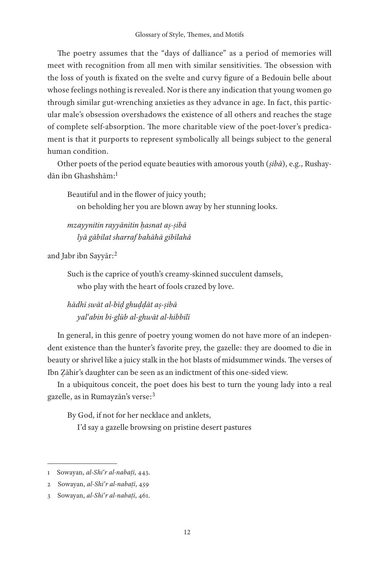The poetry assumes that the "days of dalliance" as a period of memories will meet with recognition from all men with similar sensitivities. The obsession with the loss of youth is fixated on the svelte and curvy figure of a Bedouin belle about whose feelings nothing is revealed. Nor is there any indication that young women go through similar gut-wrenching anxieties as they advance in age. In fact, this particular male's obsession overshadows the existence of all others and reaches the stage of complete self-absorption. The more charitable view of the poet-lover's predicament is that it purports to represent symbolically all beings subject to the general human condition.

Other poets of the period equate beauties with amorous youth (*ṣibā*), e.g., Rushaydān ibn Ghashshām:1

Beautiful and in the flower of juicy youth; on beholding her you are blown away by her stunning looks.

*mzayynitin rayyānitin ḥasnat aṣ-ṣibā lyā gābilat sharraf bahāhā gibīlahā*

and Jabr ibn Sayyār:2

Such is the caprice of youth's creamy-skinned succulent damsels, who play with the heart of fools crazed by love.

*hādhī swāt al-bīḍ ghuḍḍāt aṣ-ṣibā yalʿabin bi-glūb al-ghwāt al-hibbilī*

In general, in this genre of poetry young women do not have more of an independent existence than the hunter's favorite prey, the gazelle: they are doomed to die in beauty or shrivel like a juicy stalk in the hot blasts of midsummer winds. The verses of Ibn Ẓāhir's daughter can be seen as an indictment of this one-sided view.

In a ubiquitous conceit, the poet does his best to turn the young lady into a real gazelle, as in Rumayzān's verse:3

By God, if not for her necklace and anklets,

I'd say a gazelle browsing on pristine desert pastures

<sup>1</sup> Sowayan, *al-Shiʿr al-nabaṭī*, 443.

<sup>2</sup> Sowayan, *al-Shiʿr al-nabaṭī*, 459

<sup>3</sup> Sowayan, *al-Shiʿr al-nabaṭī*, 461.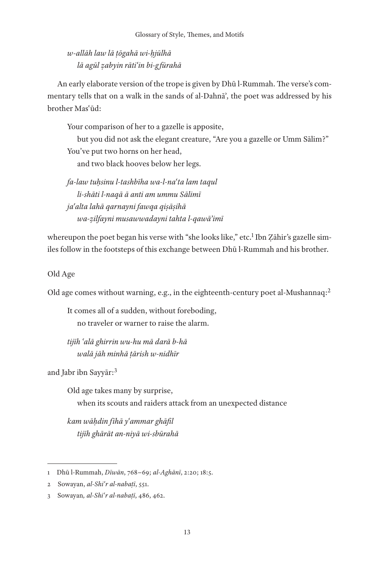*w-allāh law lā ṭōgahā wi-ḥjūlhā lā agūl ẓabyin rātiʿin bi-g fūrahā*

An early elaborate version of the trope is given by Dhū l-Rummah. The verse's commentary tells that on a walk in the sands of al-Dahnāʾ, the poet was addressed by his brother Masʿūd:

Your comparison of her to a gazelle is apposite,

but you did not ask the elegant creature, "Are you a gazelle or Umm Sālim?" You've put two horns on her head,

and two black hooves below her legs.

*fa-law tuḥsinu l-tashbīha wa-l-naʿta lam taqul li-shāti l-naqā ā anti am ummu Sālimī jaʿalta lahā qarnayni fawqa qiṣāṣihā wa-ẓilfayni musawwadayni tahta l-qawāʾimī*

whereupon the poet began his verse with "she looks like," etc.<sup>1</sup> Ibn Zāhir's gazelle similes follow in the footsteps of this exchange between Dhū l-Rummah and his brother.

Old Age

Old age comes without warning, e.g., in the eighteenth-century poet al-Mushannaq:2

It comes all of a sudden, without foreboding, no traveler or warner to raise the alarm.

*tijīh ʿalā ghirrin wu-hu mā darā b-hā walā jāh minhā ṭārish w-nidhīr*

and Jabr ibn Sayyār:3

Old age takes many by surprise, when its scouts and raiders attack from an unexpected distance

*kam wāḥdin fīhā yʿammar ghāfil tijīh ghārāt an-niyā wi-sbūrahā*

<sup>1</sup> Dhū l-Rummah, *Dīwān*, 768−69; *al-Aghānī*, 2:20; 18:5.

<sup>2</sup> Sowayan, *al-Shiʿr al-nabaṭī*, 551.

<sup>3</sup> Sowayan*, al-Shiʿr al-nabaṭī*, 486, 462.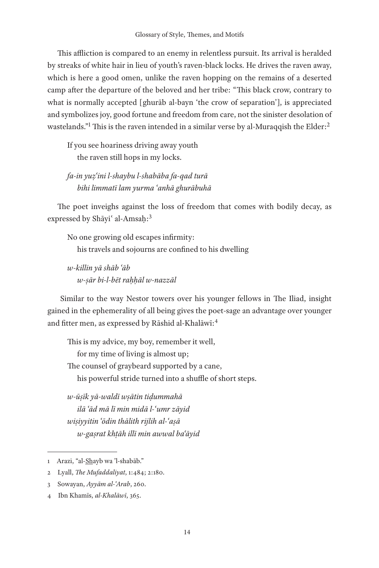This affliction is compared to an enemy in relentless pursuit. Its arrival is heralded by streaks of white hair in lieu of youth's raven-black locks. He drives the raven away, which is here a good omen, unlike the raven hopping on the remains of a deserted camp after the departure of the beloved and her tribe: "This black crow, contrary to what is normally accepted [ghurāb al-bayn 'the crow of separation'], is appreciated and symbolizes joy, good fortune and freedom from care, not the sinister desolation of wastelands."<sup>1</sup> This is the raven intended in a similar verse by al-Muraqqish the Elder:<sup>2</sup>

If you see hoariness driving away youth the raven still hops in my locks.

*fa-in yuẓʿini l-shaybu l-shabāba fa-qad turā bihi limmatī lam yurma ʿanhā ghurābuhā*

The poet inveighs against the loss of freedom that comes with bodily decay, as expressed by Shāyi' al-Amsaḥ:<sup>3</sup>

No one growing old escapes infirmity: his travels and sojourns are confined to his dwelling

*w-killin yā shāb ʿāb w-ṣār bi-l-bēt raḥḥāl w-nazzāl*

 Similar to the way Nestor towers over his younger fellows in The Iliad, insight gained in the ephemerality of all being gives the poet-sage an advantage over younger and fitter men, as expressed by Rāshid al-Khalāwī:<sup>4</sup>

This is my advice, my boy, remember it well, for my time of living is almost up; The counsel of graybeard supported by a cane, his powerful stride turned into a shuffle of short steps.

*w-ūṣīk yā-waldī wṣātin tiḍummahā ilā ʿād mā lī min midā l-ʿumr zāyid wiṣiyyitin ʿōdin thālith rijlih al-ʿaṣā w-gaṣrat khṭāh illī min awwal baʿāyid*

<sup>1</sup> Arazi, "al-Shayb wa 'l-shabāb."

<sup>2</sup> Lyall, *The Mufaddaliyat*, 1:484; 2:180.

<sup>3</sup> Sowayan, *Ayyām al-ʿArab*, 260.

<sup>4</sup> Ibn Khamīs, *al-Khalāwī*, 365.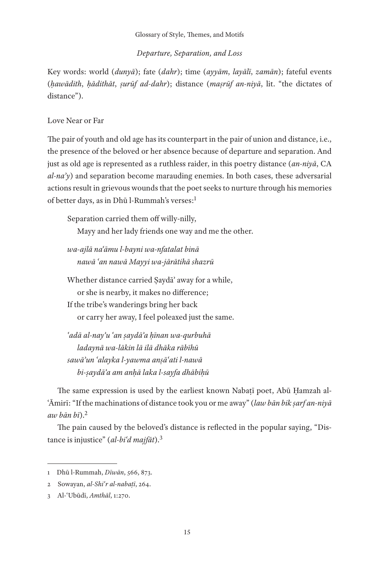## *Departure, Separation, and Loss*

Key words: world (*dunyā*); fate (*dahr*); time (*ayyām*, *layālī*, *zamān*); fateful events (*ḥawādith*, *ḥādithāt*, *ṣurūf ad-dahr*); distance (*maṣrūf an-niyā*, lit. "the dictates of distance").

#### Love Near or Far

The pair of youth and old age has its counterpart in the pair of union and distance, i.e., the presence of the beloved or her absence because of departure and separation. And just as old age is represented as a ruthless raider, in this poetry distance (*an-niyā*, CA *al-naʾy*) and separation become marauding enemies. In both cases, these adversarial actions result in grievous wounds that the poet seeks to nurture through his memories of better days, as in Dhū l-Rummah's verses:1

Separation carried them off willy-nilly, Mayy and her lady friends one way and me the other.

*wa-ajlā naʿāmu l-bayni wa-nfatalat binā nawā ʿan nawā Mayyi wa-jārātihā shazrū*

Whether distance carried Ṣaydāʾ away for a while, or she is nearby, it makes no difference; If the tribe's wanderings bring her back or carry her away, I feel poleaxed just the same.

*ʿadā al-nayʾu ʿan ṣaydāʾa ḥīnan wa-qurbuhā ladaynā wa-lākin lā ilā dhāka rābīhū sawāʾun ʿalayka l-yawma anṣāʿati l-nawā bi-ṣaydāʾa am anḥā laka l-sayfa dhābiḥū*

The same expression is used by the earliest known Nabaṭī poet, Abū Ḥamzah al-ʿĀmirī: "If the machinations of distance took you or me away" (*law bān bik ṣarf an-niyā aw bān bī*).2

The pain caused by the beloved's distance is reflected in the popular saying, "Distance is injustice" (*al-biʿd majfāt*).3

<sup>1</sup> Dhū l-Rummah, *Dīwān*, 566, 873.

<sup>2</sup> Sowayan, *al-Shiʿr al-nabaṭī*, 264.

<sup>3</sup> Al-ʿUbūdī, *Amthāl*, 1:270.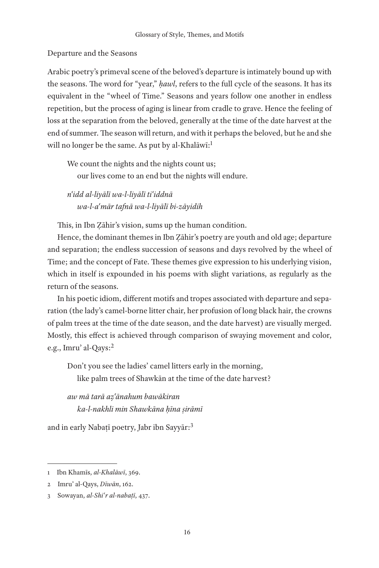### Departure and the Seasons

Arabic poetry's primeval scene of the beloved's departure is intimately bound up with the seasons. The word for "year," *ḥawl*, refers to the full cycle of the seasons. It has its equivalent in the "wheel of Time." Seasons and years follow one another in endless repetition, but the process of aging is linear from cradle to grave. Hence the feeling of loss at the separation from the beloved, generally at the time of the date harvest at the end of summer. The season will return, and with it perhaps the beloved, but he and she will no longer be the same. As put by al-Khalāwī:<sup>1</sup>

We count the nights and the nights count us; our lives come to an end but the nights will endure.

*nʿidd al-liyālī wa-l-liyālī tiʿiddnā wa-l-aʿmār tafnā wa-l-liyālī bi-zāyidih*

This, in Ibn Ẓāhir's vision, sums up the human condition.

Hence, the dominant themes in Ibn Ẓāhir's poetry are youth and old age; departure and separation; the endless succession of seasons and days revolved by the wheel of Time; and the concept of Fate. These themes give expression to his underlying vision, which in itself is expounded in his poems with slight variations, as regularly as the return of the seasons.

In his poetic idiom, different motifs and tropes associated with departure and separation (the lady's camel-borne litter chair, her profusion of long black hair, the crowns of palm trees at the time of the date season, and the date harvest) are visually merged. Mostly, this effect is achieved through comparison of swaying movement and color, e.g., Imruʾ al-Qays:2

Don't you see the ladies' camel litters early in the morning, like palm trees of Shawkān at the time of the date harvest?

*aw mā tarā aẓʿānahum bawākiran ka-l-nakhli min Shawkāna ḥīna ṣirāmī*

and in early Nabaṭī poetry, Jabr ibn Sayyār:3

<sup>1</sup> Ibn Khamīs, *al-Khalāwī*, 369.

<sup>2</sup> Imruʾ al-Qays, *Dīwān*, 162.

<sup>3</sup> Sowayan, *al-Shiʿr al-nabaṭī*, 437.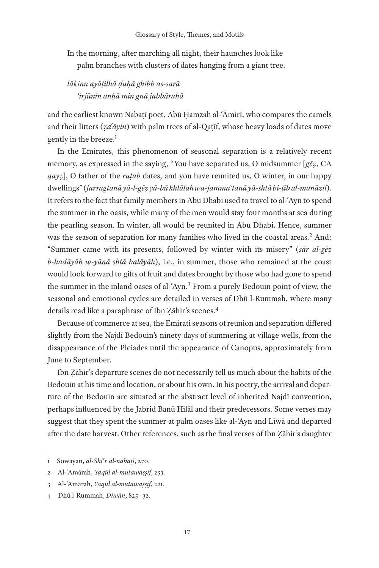In the morning, after marching all night, their haunches look like palm branches with clusters of dates hanging from a giant tree.

# *lākinn ayāṭilhā ḍuḥā ghibb as-sarā ʿirjūnin anḥā min gnā jabbārahā*

and the earliest known Nabaṭī poet, Abū Ḥamzah al-ʿĀmirī, who compares the camels and their litters ( $z a' \bar{a} y$ *in*) with palm trees of al-Qatif, whose heavy loads of dates move gently in the breeze.<sup>1</sup>

In the Emirates, this phenomenon of seasonal separation is a relatively recent memory, as expressed in the saying, "You have separated us, O midsummer [*gēẓ*, CA *qayz*], O father of the *rutab* dates, and you have reunited us, O winter, in our happy dwellings" (*farragtanā yā-l-gēẓ yā-bū khlālah wa-jammaʿtanā yā-shtā bi-ṭīb al-manāzil*). It refers to the fact that family members in Abu Dhabi used to travel to al-ʿAyn to spend the summer in the oasis, while many of the men would stay four months at sea during the pearling season. In winter, all would be reunited in Abu Dhabi. Hence, summer was the season of separation for many families who lived in the coastal areas.<sup>2</sup> And: "Summer came with its presents, followed by winter with its misery" (*sār al-gēẓ b-hadāyāh w-yānā shtā balāyāh*), i.e., in summer, those who remained at the coast would look forward to gifts of fruit and dates brought by those who had gone to spend the summer in the inland oases of al-ʿAyn.3 From a purely Bedouin point of view, the seasonal and emotional cycles are detailed in verses of Dhū l-Rummah, where many details read like a paraphrase of Ibn Ẓāhir's scenes.4

Because of commerce at sea, the Emirati seasons of reunion and separation differed slightly from the Najdī Bedouin's ninety days of summering at village wells, from the disappearance of the Pleiades until the appearance of Canopus, approximately from June to September.

Ibn Ẓāhir's departure scenes do not necessarily tell us much about the habits of the Bedouin at his time and location, or about his own. In his poetry, the arrival and departure of the Bedouin are situated at the abstract level of inherited Najdī convention, perhaps influenced by the Jabrid Banū Hilāl and their predecessors. Some verses may suggest that they spent the summer at palm oases like al-ʿAyn and Līwā and departed after the date harvest. Other references, such as the final verses of Ibn Ẓāhir's daughter

<sup>1</sup> Sowayan, *al-Shiʿr al-nabaṭī*, 270.

<sup>2</sup> Al-ʿAmārah, *Yaqūl al-mutawaṣṣif*, 253.

<sup>3</sup> Al-ʿAmārah, *Yaqūl al-mutawaṣṣif*, 221.

<sup>4</sup> Dhū l-Rummah, *Dīwān*, 825−32.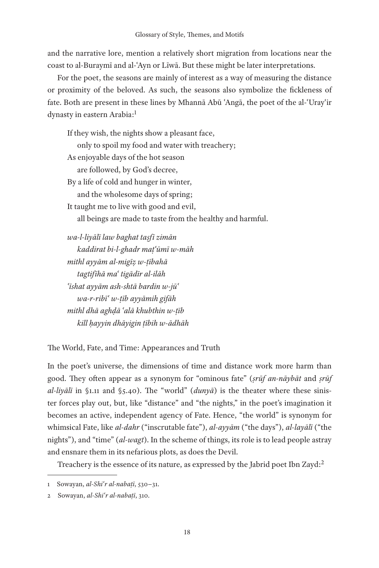and the narrative lore, mention a relatively short migration from locations near the coast to al-Buraymī and al-ʿAyn or Līwā. But these might be later interpretations.

For the poet, the seasons are mainly of interest as a way of measuring the distance or proximity of the beloved. As such, the seasons also symbolize the fickleness of fate. Both are present in these lines by Mhannā Abū ʿAngā, the poet of the al-ʿUrayʿir dynasty in eastern Arabia:<sup>1</sup>

If they wish, the nights show a pleasant face, only to spoil my food and water with treachery; As enjoyable days of the hot season are followed, by God's decree, By a life of cold and hunger in winter, and the wholesome days of spring; It taught me to live with good and evil, all beings are made to taste from the healthy and harmful. *wa-l-liyālī law baghat taṣfī zimān kaddirat bi-l-ghadr maṭʿūmī w-māh mithl ayyām al-migīẓ w-ṭībahā tagtifīhā maʿ tigādīr al-ilāh*

*ʿīshat ayyām ash-shtā bardin w-jūʿ wa-r-ribīʿ w-ṭīb ayyāmih gifāh mithl dhā aghḍā ʿalā khubthin w-ṭīb kill ḥayyin dhāyigin ṭībih w-ādhāh*

The World, Fate, and Time: Appearances and Truth

In the poet's universe, the dimensions of time and distance work more harm than good. They often appear as a synonym for "ominous fate" (*ṣrūf an-nāybāt* and *ṣrūf al-liyālī* in §1.11 and §5.40). The "world" (*dunyā*) is the theater where these sinister forces play out, but, like "distance" and "the nights," in the poet's imagination it becomes an active, independent agency of Fate. Hence, "the world" is synonym for whimsical Fate, like *al-dahr* ("inscrutable fate"), *al-ayyām* ("the days"), *al-layālī* ("the nights"), and "time" (*al-wagt*). In the scheme of things, its role is to lead people astray and ensnare them in its nefarious plots, as does the Devil.

Treachery is the essence of its nature, as expressed by the Jabrid poet Ibn Zayd:<sup>2</sup>

<sup>1</sup> Sowayan, *al-Shiʿr al-nabaṭī*, 530−31.

<sup>2</sup> Sowayan, *al-Shiʿr al-nabaṭī*, 310.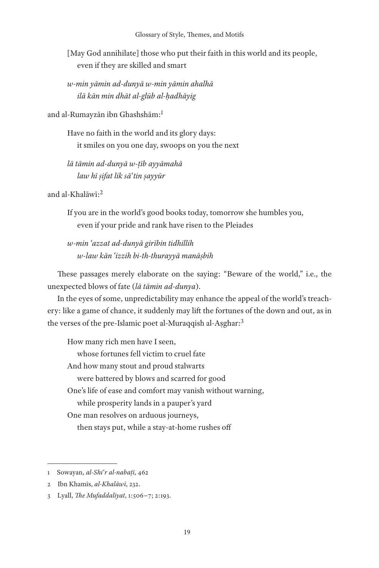[May God annihilate] those who put their faith in this world and its people, even if they are skilled and smart

*w-min yāmin ad-dunyā w-min yāmin ahalhā ilā kān min dhāt al-glūb al-ḥadhāyig*

and al-Rumayzān ibn Ghashshām:1

Have no faith in the world and its glory days: it smiles on you one day, swoops on you the next

*lā tāmin ad-dunyā w-ṭīb ayyāmahā law hī ṣifat lik sāʿtin ṣayyūr*

and al-Khalāwī:2

If you are in the world's good books today, tomorrow she humbles you, even if your pride and rank have risen to the Pleiades

*w-min ʿazzat ad-dunyā girībin tidhillih w-law kān ʿizzih bi-th-thurayyā manāṣbih*

These passages merely elaborate on the saying: "Beware of the world," i.e., the unexpected blows of fate (*lā tāmin ad-dunya*).

In the eyes of some, unpredictability may enhance the appeal of the world's treachery: like a game of chance, it suddenly may lift the fortunes of the down and out, as in the verses of the pre-Islamic poet al-Muraqqish al-Aṣghar:3

How many rich men have I seen, whose fortunes fell victim to cruel fate And how many stout and proud stalwarts were battered by blows and scarred for good One's life of ease and comfort may vanish without warning, while prosperity lands in a pauper's yard One man resolves on arduous journeys, then stays put, while a stay-at-home rushes off

<sup>1</sup> Sowayan, *al-Shiʿr al-nabaṭī*, 462

<sup>2</sup> Ibn Khamīs, *al-Khalāwī*, 232.

<sup>3</sup> Lyall, *The Mufaddaliyat*, 1:506−7; 2:193.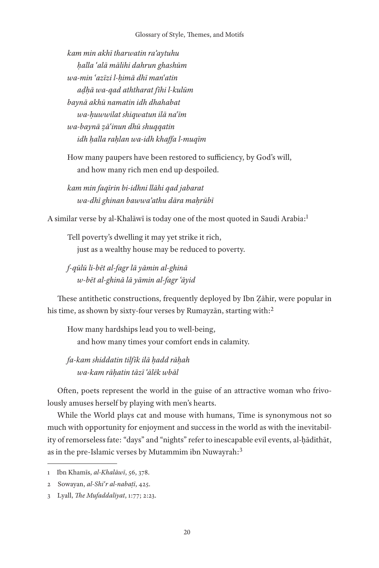*kam min akhī tharwatin raʾaytuhu ḥalla ʿalā mālihi dahrun ghashūm wa-min ʿazīzi l-ḥimā dhī manʿatin aḍḥā wa-qad aththarat fīhi l-kulūm baynā akhū namatin idh dhahabat wa-ḥuwwilat shiqwatun ilā naʿīm wa-baynā ẓāʿinun dhū shuqqatin idh ḥalla raḥlan wa-idh khaffa l-muqīm*

How many paupers have been restored to sufficiency, by God's will, and how many rich men end up despoiled.

*kam min faqīrin bi-idhni llāhi qad jabarat wa-dhī ghinan bawwaʾathu dāra maḥrūbī*

A similar verse by al-Khalāwī is today one of the most quoted in Saudi Arabia:1

Tell poverty's dwelling it may yet strike it rich, just as a wealthy house may be reduced to poverty.

*f-qūlū li-bēt al-fagr lā yāmin al-ghinā w-bēt al-ghinā lā yāmin al-fagr ʿāyid*

These antithetic constructions, frequently deployed by Ibn Ẓāhir, were popular in his time, as shown by sixty-four verses by Rumayzan, starting with:<sup>2</sup>

How many hardships lead you to well-being, and how many times your comfort ends in calamity.

*fa-kam shiddatin tilfīk ilā ḥadd rāḥah wa-kam rāḥatin tāzī ʿālēk wbāl*

Often, poets represent the world in the guise of an attractive woman who frivolously amuses herself by playing with men's hearts.

While the World plays cat and mouse with humans, Time is synonymous not so much with opportunity for enjoyment and success in the world as with the inevitability of remorseless fate: "days" and "nights" refer to inescapable evil events, al-ḥādithāt, as in the pre-Islamic verses by Mutammim ibn Nuwayrah:<sup>3</sup>

<sup>1</sup> Ibn Khamīs, *al-Khalāwī*, 56, 378.

<sup>2</sup> Sowayan, *al-Shiʿr al-nabaṭī*, 425.

<sup>3</sup> Lyall, *The Mufaddaliyat*, 1:77; 2:23.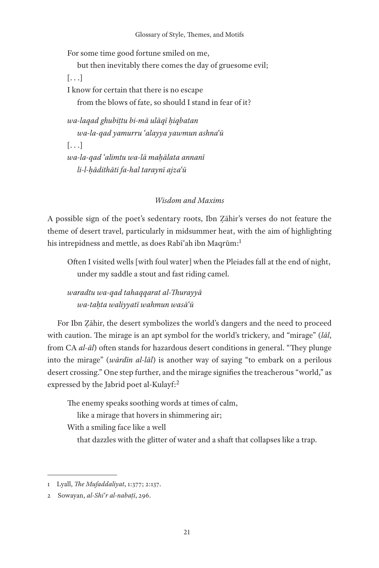For some time good fortune smiled on me,

but then inevitably there comes the day of gruesome evil;

[. . .]

I know for certain that there is no escape from the blows of fate, so should I stand in fear of it?

*wa-laqad ghubiṭtu bi-mā ulāqī ḥiqbatan wa-la-qad yamurru ʿalayya yawmun ashnaʿū*  $\lceil \ldots \rceil$ *wa-la-qad ʿalimtu wa-lā maḥālata annanī li-l-ḥādithāti fa-hal taraynī ajzaʿū*

# *Wisdom and Maxims*

A possible sign of the poet's sedentary roots, Ibn Ẓāhir's verses do not feature the theme of desert travel, particularly in midsummer heat, with the aim of highlighting his intrepidness and mettle, as does Rabī'ah ibn Maqrūm:<sup>1</sup>

Often I visited wells [with foul water] when the Pleiades fall at the end of night, under my saddle a stout and fast riding camel.

*waradtu wa-qad tahaqqarat al-Thurayyā wa-taḥta waliyyatī wahmun wasāʿū*

For Ibn Ẓāhir, the desert symbolizes the world's dangers and the need to proceed with caution. The mirage is an apt symbol for the world's trickery, and "mirage" (*lāl*, from CA *al-āl*) often stands for hazardous desert conditions in general. "They plunge into the mirage" (*wārdīn al-lāl*) is another way of saying "to embark on a perilous desert crossing." One step further, and the mirage signifies the treacherous "world," as expressed by the Jabrid poet al-Kulayf:2

The enemy speaks soothing words at times of calm,

like a mirage that hovers in shimmering air;

With a smiling face like a well

that dazzles with the glitter of water and a shaft that collapses like a trap.

<sup>1</sup> Lyall, *The Mufaddaliyat*, 1:377; 2:137.

<sup>2</sup> Sowayan, *al-Shiʿr al-nabaṭī*, 296.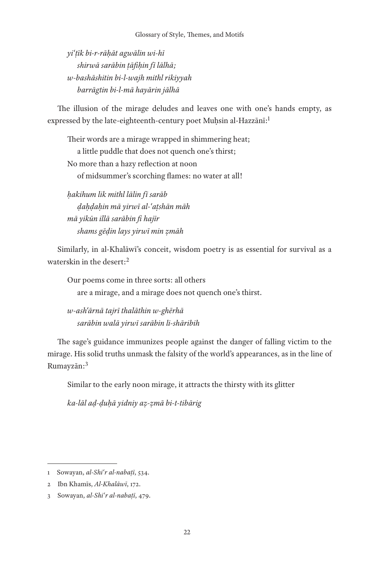*yiʿṭīk bi-r-rāḥāt agwālin wi-hī shirwā sarābin ṭāfiḥin fī lālhā; w-bashāshitin bi-l-wajh mithl rikiyyah barrāgtin bi-l-mā hayārin jālhā*

The illusion of the mirage deludes and leaves one with one's hands empty, as expressed by the late-eighteenth-century poet Muḥsin al-Hazzānī:<sup>1</sup>

Their words are a mirage wrapped in shimmering heat; a little puddle that does not quench one's thirst; No more than a hazy reflection at noon of midsummer's scorching flames: no water at all!

*ḥakihum lik mithl lālin fī sarāb ḍaḥḍaḥin mā yirwī al-ʿaṭshān māh mā yikūn illā sarābin fi hajīr shams gēḍin lays yirwī min ẓmāh*

Similarly, in al-Khalāwī's conceit, wisdom poetry is as essential for survival as a waterskin in the desert:2

Our poems come in three sorts: all others are a mirage, and a mirage does not quench one's thirst.

*w-ashʿārnā tajrī thalāthin w-ghērhā sarābin walā yirwī sarābin li-shāribih*

The sage's guidance immunizes people against the danger of falling victim to the mirage. His solid truths unmask the falsity of the world's appearances, as in the line of Rumayzān:3

Similar to the early noon mirage, it attracts the thirsty with its glitter

*ka-lāl aḍ-ḍuḥā yidniy aẓ-ẓmā bi-t-tibārig*

<sup>1</sup> Sowayan, *al-Shiʿr al-nabaṭī*, 534.

<sup>2</sup> Ibn Khamīs, *Al-Khalāwī*, 172.

<sup>3</sup> Sowayan, *al-Shiʿr al-nabaṭī*, 479.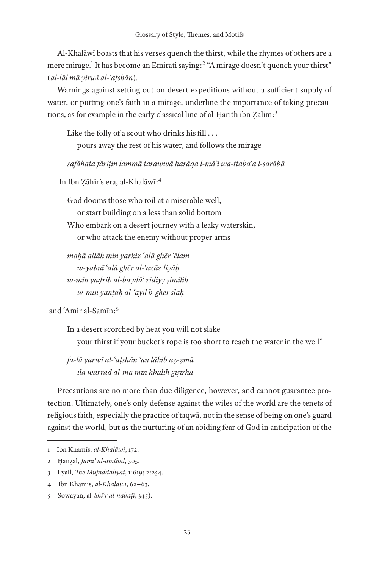Al-Khalāwī boasts that his verses quench the thirst, while the rhymes of others are a mere mirage.<sup>1</sup> It has become an Emirati saying:<sup>2</sup> "A mirage doesn't quench your thirst" (*al-lāl mā yirwī al-ʿaṭshān*).

Warnings against setting out on desert expeditions without a sufficient supply of water, or putting one's faith in a mirage, underline the importance of taking precautions, as for example in the early classical line of al-Ḥārith ibn Ẓālim:3

Like the folly of a scout who drinks his fill . . . pours away the rest of his water, and follows the mirage

*safāhata fāriṭin lammā tarawwā harāqa l-māʾi wa-ttabaʿa l-sarābā*

In Ibn Ẓāhir's era, al-Khalāwī:4

God dooms those who toil at a miserable well, or start building on a less than solid bottom Who embark on a desert journey with a leaky waterskin, or who attack the enemy without proper arms

*maḥā allāh min yarkiz ʿalā ghēr ʿēlam w-yabnī ʿalā ghēr al-ʿazāz liyāḥ w-min yaḍrib al-baydāʾ ridiyy ṣimīlih w-min yanṭaḥ al-ʿāyil b-ghēr slāḥ*

and ʿĀmir al-Samīn:5

In a desert scorched by heat you will not slake your thirst if your bucket's rope is too short to reach the water in the well"

*fa-lā yarwī al-ʿaṭshān ʿan lāhib aẓ-ẓmā ilā warrad al-mā min ḥbālih giṣīrhā*

Precautions are no more than due diligence, however, and cannot guarantee protection. Ultimately, one's only defense against the wiles of the world are the tenets of religious faith, especially the practice of taqwā, not in the sense of being on one's guard against the world, but as the nurturing of an abiding fear of God in anticipation of the

<sup>1</sup> Ibn Khamīs, *al-Khalāwī*, 172.

<sup>2</sup> Ḥanẓal, *Jāmiʿ al-amthāl*, 305.

<sup>3</sup> Lyall, *The Mufaddaliyat*, 1:619; 2:254.

<sup>4</sup> Ibn Khamīs, *al-Khalāwī*, 62−63.

<sup>5</sup> Sowayan, al*-Shiʿr al-nabaṭī*, 345).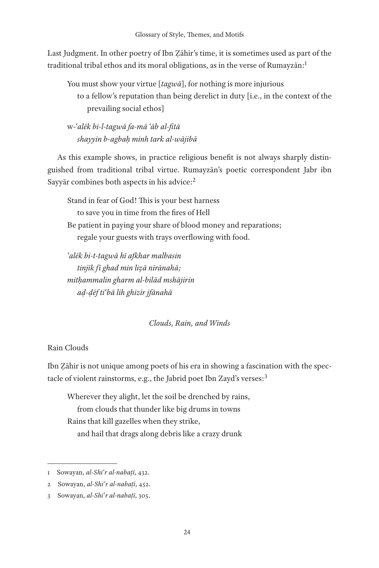Last Judgment. In other poetry of Ibn Ẓāhir's time, it is sometimes used as part of the traditional tribal ethos and its moral obligations, as in the verse of  $Rum$ ayz $\bar{a}$ n:<sup>1</sup>

You must show your virtue [*tagwā*], for nothing is more injurious to a fellow's reputation than being derelict in duty [i.e., in the context of the prevailing social ethos]

w-*ʿalēk bi-l-tagwā fa-mā ʿāb al-fitā shayyin b-agbaḥ minh tark al-wājibā*

As this example shows, in practice religious benefit is not always sharply distinguished from traditional tribal virtue. Rumayzān's poetic correspondent Jabr ibn Sayyār combines both aspects in his advice:2

Stand in fear of God! This is your best harness to save you in time from the fires of Hell Be patient in paying your share of blood money and reparations; regale your guests with trays overflowing with food.

*ʿalēk bi-t-tagwā hī afkhar malbasin tinjīk fī ghad min liẓā nīrānahā; mitḥammalin gharm al-bilād mshājirin aḍ-ḍēf tiʿbā lih ghizīr jfānahā*

# *Clouds, Rain, and Winds*

# Rain Clouds

Ibn Ẓāhir is not unique among poets of his era in showing a fascination with the spectacle of violent rainstorms, e.g., the Jabrid poet Ibn Zayd's verses:3

Wherever they alight, let the soil be drenched by rains, from clouds that thunder like big drums in towns Rains that kill gazelles when they strike, and hail that drags along debris like a crazy drunk

<sup>1</sup> Sowayan, *al-Shiʿr al-nabaṭī*, 432.

<sup>2</sup> Sowayan, *al-Shiʿr al-nabaṭī*, 452.

<sup>3</sup> Sowayan, *al-Shiʿr al-nabaṭī*, 305.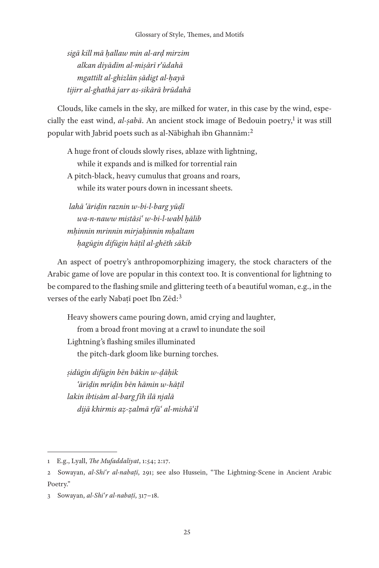*sigā kill mā ḥallaw min al-arḍ mirzim alkan diyādīm al-miṣārī rʿūdahā mgattilt al-ghizlān ṣādigt al-ḥayā tijirr al-ghathā jarr as-sikārā brūdahā*

Clouds, like camels in the sky, are milked for water, in this case by the wind, especially the east wind, al-*ṣabā*. An ancient stock image of Bedouin poetry,<sup>1</sup> it was still popular with Jabrid poets such as al-Nābighah ibn Ghannām:2

A huge front of clouds slowly rises, ablaze with lightning, while it expands and is milked for torrential rain A pitch-black, heavy cumulus that groans and roars, while its water pours down in incessant sheets.

*lahā ʿāriḍin raznin w-bi-l-barg yūḍī wa-n-naww mistāsiʿ w-bi-l-wabl ḥālib mḥinnin mrinnin mirjaḥinnin mḥaltam ḥagūgin difūgin hāṭil al-ghēth sākib*

An aspect of poetry's anthropomorphizing imagery, the stock characters of the Arabic game of love are popular in this context too. It is conventional for lightning to be compared to the flashing smile and glittering teeth of a beautiful woman, e.g., in the verses of the early Nabatī poet Ibn Zēd:<sup>3</sup>

Heavy showers came pouring down, amid crying and laughter, from a broad front moving at a crawl to inundate the soil Lightning's flashing smiles illuminated the pitch-dark gloom like burning torches.

*ṣidūgin difūgin bēn bākin w-ḍāḥik ʿārīḍin mrīḍin bēn hāmin w-hāṭil lakin ibtisām al-barg fīh ilā njalā dijā khirmis aẓ-ẓalmā rfāʿ al-mishāʿil*

<sup>1</sup> E.g., Lyall, *The Mufaddaliyat*, 1:54; 2:17.

<sup>2</sup> Sowayan, *al-Shiʿr al-nabaṭī*, 291; see also Hussein, "The Lightning-Scene in Ancient Arabic Poetry."

<sup>3</sup> Sowayan, *al-Shiʿr al-nabaṭī*, 317−18.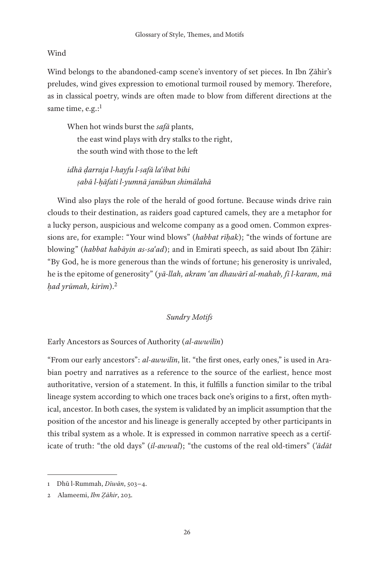# Wind

Wind belongs to the abandoned-camp scene's inventory of set pieces. In Ibn Ẓāhir's preludes, wind gives expression to emotional turmoil roused by memory. Therefore, as in classical poetry, winds are often made to blow from different directions at the same time, e.g.:<sup>1</sup>

When hot winds burst the *safā* plants, the east wind plays with dry stalks to the right, the south wind with those to the left

*idhā ḍarraja l-hayfu l-safā laʿibat bihi ṣabā l-ḥāfati l-yumnā janūbun shimālahā*

Wind also plays the role of the herald of good fortune. Because winds drive rain clouds to their destination, as raiders goad captured camels, they are a metaphor for a lucky person, auspicious and welcome company as a good omen. Common expressions are, for example: "Your wind blows" (*habbat rīḥak*); "the winds of fortune are blowing" (*habbat habāyin as-saʿad*); and in Emirati speech, as said about Ibn Ẓāhir: "By God, he is more generous than the winds of fortune; his generosity is unrivaled, he is the epitome of generosity" (*yā-llah, akram ʿan dhawārī al-mahab, fī l-karam, mā ḥad yrūmah, kirīm*).2

## *Sundry Motifs*

Early Ancestors as Sources of Authority (*al-awwilīn*)

"From our early ancestors": *al-awwilīn*, lit. "the first ones, early ones," is used in Arabian poetry and narratives as a reference to the source of the earliest, hence most authoritative, version of a statement. In this, it fulfills a function similar to the tribal lineage system according to which one traces back one's origins to a first, often mythical, ancestor. In both cases, the system is validated by an implicit assumption that the position of the ancestor and his lineage is generally accepted by other participants in this tribal system as a whole. It is expressed in common narrative speech as a certificate of truth: "the old days" (*il-awwal*); "the customs of the real old-timers" (*ʿādāt* 

<sup>1</sup> Dhū l-Rummah, *Dīwān*, 503−4.

<sup>2</sup> Alameemi, *Ibn Ẓāhir*, 203.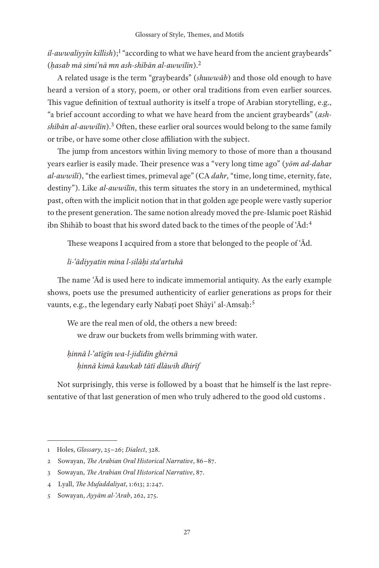il-awwaliyyīn killish);<sup>1</sup> "according to what we have heard from the ancient graybeards" (*ḥasab mā simi'nā mn ash-shībān al-awwilīn*).2

A related usage is the term "graybeards" (*shuwwāb*) and those old enough to have heard a version of a story, poem, or other oral traditions from even earlier sources. This vague definition of textual authority is itself a trope of Arabian storytelling, e.g., "a brief account according to what we have heard from the ancient graybeards" (*ashshībān al-awwilīn*).3 Often, these earlier oral sources would belong to the same family or tribe, or have some other close affiliation with the subject.

The jump from ancestors within living memory to those of more than a thousand years earlier is easily made. Their presence was a "very long time ago" (*yōm ad-dahar al-awwilī*), "the earliest times, primeval age" (CA *dahr*, "time, long time, eternity, fate, destiny"). Like *al-awwilīn*, this term situates the story in an undetermined, mythical past, often with the implicit notion that in that golden age people were vastly superior to the present generation. The same notion already moved the pre-Islamic poet Rāshid ibn Shihāb to boast that his sword dated back to the times of the people of ʿĀd:4

These weapons I acquired from a store that belonged to the people of ʿĀd.

### *li-ʿādiyyatin mina l-silāḥi staʿartuhā*

The name ʿĀd is used here to indicate immemorial antiquity. As the early example shows, poets use the presumed authenticity of earlier generations as props for their vaunts, e.g., the legendary early Nabaṭī poet Shāyi' al-Amsaḥ:<sup>5</sup>

We are the real men of old, the others a new breed: we draw our buckets from wells brimming with water.

*ḥinnā l-ʿatīgīn wa-l-jidīdīn ghērnā ḥinnā kimā kawkab tātī dlāwih dhirīf*

Not surprisingly, this verse is followed by a boast that he himself is the last representative of that last generation of men who truly adhered to the good old customs .

<sup>1</sup> Holes, *Glossary*, 25−26; *Dialect*, 328.

<sup>2</sup> Sowayan, *The Arabian Oral Historical Narrative*, 86−87.

<sup>3</sup> Sowayan, *The Arabian Oral Historical Narrative*, 87.

<sup>4</sup> Lyall, *The Mufaddaliyat*, 1:613; 2:247.

<sup>5</sup> Sowayan, *Ayyām al-ʿArab*, 262, 275.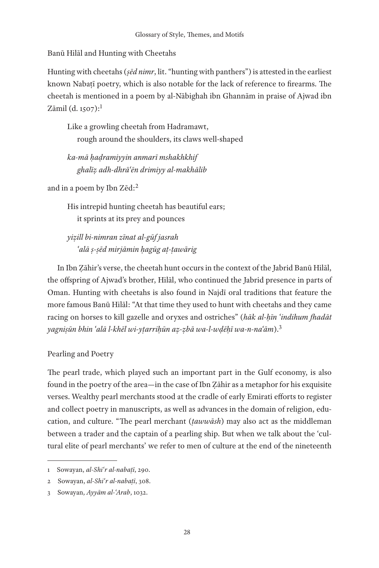Banū Hilāl and Hunting with Cheetahs

Hunting with cheetahs (*ṣēd nimr*, lit. "hunting with panthers") is attested in the earliest known Nabaṭī poetry, which is also notable for the lack of reference to firearms. The cheetah is mentioned in a poem by al-Nābighah ibn Ghannām in praise of Ajwad ibn  $Zāmil$  (d. 1507):<sup>1</sup>

Like a growling cheetah from Hadramawt, rough around the shoulders, its claws well-shaped

*ka-mā ḥaḍramiyyin anmarī mshakhkhif ghalīẓ adh-dhrāʿēn drimiyy al-makhālib*

and in a poem by Ibn Zēd:2

His intrepid hunting cheetah has beautiful ears; it sprints at its prey and pounces

*yiẓill bi-nimran zīnat al-gūf jasrah ʿalā ṣ-ṣēd mirjāmin ḥagūg aṭ-ṭawārig*

In Ibn Ẓāhir's verse, the cheetah hunt occurs in the context of the Jabrid Banū Hilāl, the offspring of Ajwad's brother, Hilāl, who continued the Jabrid presence in parts of Oman. Hunting with cheetahs is also found in Najdī oral traditions that feature the more famous Banū Hilāl: "At that time they used to hunt with cheetahs and they came racing on horses to kill gazelle and oryxes and ostriches" (*hāk al-ḥīn ʿindihum fhadāt yagniṣūn bhin ʿalā l-khēl wi-yṭarriḥūn aẓ-ẓbā wa-l-wḍēḥī wa-n-naʿām*).3

# Pearling and Poetry

The pearl trade, which played such an important part in the Gulf economy, is also found in the poetry of the area—in the case of Ibn Ẓāhir as a metaphor for his exquisite verses. Wealthy pearl merchants stood at the cradle of early Emirati efforts to register and collect poetry in manuscripts, as well as advances in the domain of religion, education, and culture. "The pearl merchant (*ṭawwāsh*) may also act as the middleman between a trader and the captain of a pearling ship. But when we talk about the 'cultural elite of pearl merchants' we refer to men of culture at the end of the nineteenth

<sup>1</sup> Sowayan, *al-Shiʿr al-nabaṭī*, 290.

<sup>2</sup> Sowayan, *al-Shiʿr al-nabaṭī*, 308.

<sup>3</sup> Sowayan, *Ayyām al-ʿArab*, 1032.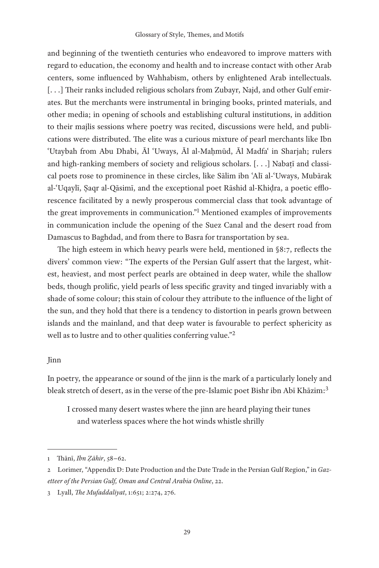and beginning of the twentieth centuries who endeavored to improve matters with regard to education, the economy and health and to increase contact with other Arab centers, some influenced by Wahhabism, others by enlightened Arab intellectuals. [...] Their ranks included religious scholars from Zubayr, Najd, and other Gulf emirates. But the merchants were instrumental in bringing books, printed materials, and other media; in opening of schools and establishing cultural institutions, in addition to their majlis sessions where poetry was recited, discussions were held, and publications were distributed. The elite was a curious mixture of pearl merchants like Ibn ʿUtaybah from Abu Dhabi, Āl ʿUways, Āl al-Maḥmūd, Āl Madfaʿ in Sharjah; rulers and high-ranking members of society and religious scholars.  $[\ldots]$  Nabati and classical poets rose to prominence in these circles, like Sālim ibn ʿAlī al-ʿUways, Mubārak al-ʿUqaylī, Ṣaqr al-Qāsimī, and the exceptional poet Rāshid al-Khiḍra, a poetic efflorescence facilitated by a newly prosperous commercial class that took advantage of the great improvements in communication."<sup>1</sup> Mentioned examples of improvements in communication include the opening of the Suez Canal and the desert road from Damascus to Baghdad, and from there to Basra for transportation by sea.

The high esteem in which heavy pearls were held, mentioned in §8:7, reflects the divers' common view: "The experts of the Persian Gulf assert that the largest, whitest, heaviest, and most perfect pearls are obtained in deep water, while the shallow beds, though prolific, yield pearls of less specific gravity and tinged invariably with a shade of some colour; this stain of colour they attribute to the influence of the light of the sun, and they hold that there is a tendency to distortion in pearls grown between islands and the mainland, and that deep water is favourable to perfect sphericity as well as to lustre and to other qualities conferring value."2

## Jinn

In poetry, the appearance or sound of the jinn is the mark of a particularly lonely and bleak stretch of desert, as in the verse of the pre-Islamic poet Bishr ibn Abī Khāzim:<sup>3</sup>

I crossed many desert wastes where the jinn are heard playing their tunes and waterless spaces where the hot winds whistle shrilly

<sup>1</sup> Thānī, *Ibn Ẓāhir*, 58−62.

<sup>2</sup> Lorimer, "Appendix D: Date Production and the Date Trade in the Persian Gulf Region," in *Gazetteer of the Persian Gulf, Oman and Central Arabia Online*, 22.

<sup>3</sup> Lyall, *The Mufaddaliyat*, 1:651; 2:274, 276.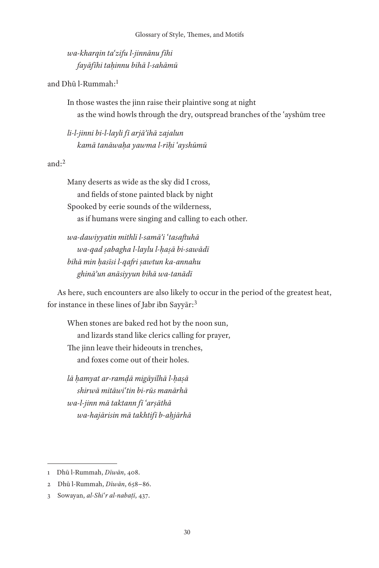*wa-kharqin taʿzifu l-jinnānu fīhi fayāfīhi taḥinnu bihā l-sahāmū*

and Dhū l-Rummah:1

In those wastes the jinn raise their plaintive song at night as the wind howls through the dry, outspread branches of the ʿayshūm tree

*li-l-jinni bi-l-layli fī arjāʾihā zajalun kamā tanāwaḥa yawma l-rīḥi ʿayshūmū*

#### and: $2$

Many deserts as wide as the sky did I cross, and fields of stone painted black by night Spooked by eerie sounds of the wilderness, as if humans were singing and calling to each other.

*wa-dawiyyatin mithli l-samāʾi ʿtasaftuhā wa-qad ṣabagha l-laylu l-ḥaṣā bi-sawādī bihā min ḥasīsi l-qafri ṣawtun ka-annahu ghināʾun anāsiyyun bihā wa-tanādī*

As here, such encounters are also likely to occur in the period of the greatest heat, for instance in these lines of Jabr ibn Sayyār:3

When stones are baked red hot by the noon sun, and lizards stand like clerics calling for prayer, The jinn leave their hideouts in trenches, and foxes come out of their holes.

*lā ḥamyat ar-ramḍā migāyilhā l-ḥaṣā shirwā mitāwiʿtin bi-rūs manārhā wa-l-jinn mā taktann fī ʿarṣāthā wa-hajārisin mā takhtifī b-aḥjārhā*

<sup>1</sup> Dhū l-Rummah, *Dīwān*, 408.

<sup>2</sup> Dhū l-Rummah, *Dīwān*, 658−86.

<sup>3</sup> Sowayan, *al-Shiʿr al-nabaṭī*, 437.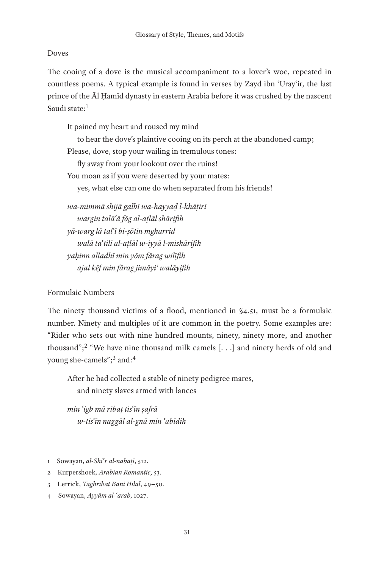# Doves

The cooing of a dove is the musical accompaniment to a lover's woe, repeated in countless poems. A typical example is found in verses by Zayd ibn ʿUrayʿir, the last prince of the Āl Ḥamīd dynasty in eastern Arabia before it was crushed by the nascent Saudi state:1

It pained my heart and roused my mind to hear the dove's plaintive cooing on its perch at the abandoned camp; Please, dove, stop your wailing in tremulous tones: fly away from your lookout over the ruins! You moan as if you were deserted by your mates: yes, what else can one do when separated from his friends! *wa-mimmā shijā galbī wa-hayyaḍ l-khāṭirī wargin talāʿā fōg al-aṭlāl shārifih*

*yā-warg lā talʿī bi-ṣōtin mgharrid walā taʿtilī al-aṭlāl w-iyyā l-mishārifih yaḥinn alladhī min yōm fārag wilīfih ajal kēf min fārag jimāyiʿ walāyifih*

# Formulaic Numbers

The ninety thousand victims of a flood, mentioned in §4.51, must be a formulaic number. Ninety and multiples of it are common in the poetry. Some examples are: "Rider who sets out with nine hundred mounts, ninety, ninety more, and another thousand";<sup>2</sup> "We have nine thousand milk camels  $[\ldots]$  and ninety herds of old and young she-camels";<sup>3</sup> and:<sup>4</sup>

After he had collected a stable of ninety pedigree mares, and ninety slaves armed with lances

*min ʿigb mā ribaṭ tisʿīn ṣafrā w-tisʿīn naggāl al-gnā min ʿabīdih*

<sup>1</sup> Sowayan, *al-Shiʿr al-nabaṭī*, 512.

<sup>2</sup> Kurpershoek, *Arabian Romantic*, 53.

<sup>3</sup> Lerrick, *Taghrībat Bani Hilal*, 49−50.

<sup>4</sup> Sowayan, *Ayyām al-ʿarab*, 1027.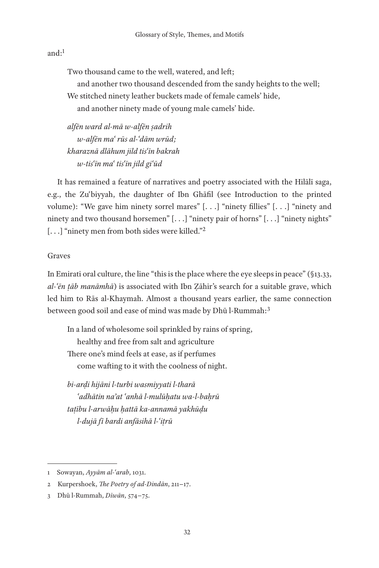# and: $<sup>1</sup>$ </sup>

Two thousand came to the well, watered, and left;

and another two thousand descended from the sandy heights to the well; We stitched ninety leather buckets made of female camels' hide,

and another ninety made of young male camels' hide.

*alfēn ward al-mā w-alfēn ṣadrih w-alfēn maʿ rūs al-ʿdām wrūd; kharaznā dlāhum jild tisʿīn bakrah w-tisʿīn maʿ tisʿīn jild giʿūd*

It has remained a feature of narratives and poetry associated with the Hilālī saga, e.g., the Zuʿbiyyah, the daughter of Ibn Ghāfil (see Introduction to the printed volume): "We gave him ninety sorrel mares" [. . .] "ninety fillies" [. . .] "ninety and ninety and two thousand horsemen" [...] "ninety pair of horns" [...] "ninety nights" [...] "ninety men from both sides were killed."<sup>2</sup>

## Graves

In Emirati oral culture, the line "this is the place where the eye sleeps in peace" (§13.33, *al-ʿēn ṭāb manāmhā*) is associated with Ibn Ẓāhir's search for a suitable grave, which led him to Rās al-Khaymah. Almost a thousand years earlier, the same connection between good soil and ease of mind was made by Dhū l-Rummah:<sup>3</sup>

In a land of wholesome soil sprinkled by rains of spring, healthy and free from salt and agriculture There one's mind feels at ease, as if perfumes come wafting to it with the coolness of night.

*bi-arḍi hijāni l-turbi wasmiyyati l-tharā ʿadhātin naʾat ʿanhā l-mulūḥatu wa-l-baḥrū taṭību l-arwāḥu ḥattā ka-annamā yakhūḍu l-dujā fī bardi anfāsihā l-ʿiṭrū*

<sup>1</sup> Sowayan, *Ayyām al-ʿarab*, 1031.

<sup>2</sup> Kurpershoek, *The Poetry of ad-Dindān*, 211−17.

<sup>3</sup> Dhū l-Rummah, *Dīwān*, 574−75.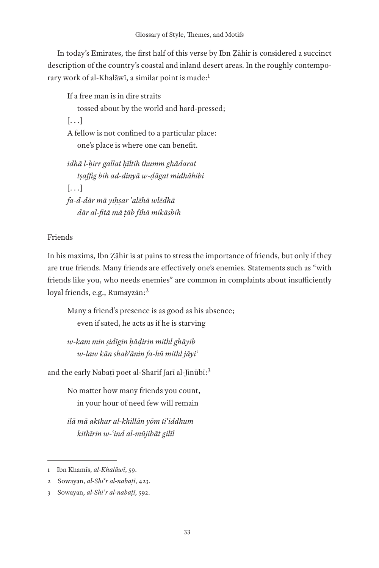In today's Emirates, the first half of this verse by Ibn Ẓāhir is considered a succinct description of the country's coastal and inland desert areas. In the roughly contemporary work of al-Khalāwī, a similar point is made:<sup>1</sup>

If a free man is in dire straits tossed about by the world and hard-pressed; [. . .] A fellow is not confined to a particular place: one's place is where one can benefit. *idhā l-ḥirr gallat ḥīltih thumm ghādarat tṣaffig bih ad-dinyā w-ḍāgat midhāhibi*  $[ \ldots]$ *fa-d-dār mā yiḥṣar ʿalēhā wlēdhā*

*dār al-fitā mā ṭāb fīhā mikāsbih*

## Friends

In his maxims, Ibn Ẓāhir is at pains to stress the importance of friends, but only if they are true friends. Many friends are effectively one's enemies. Statements such as "with friends like you, who needs enemies" are common in complaints about insufficiently loyal friends, e.g., Rumayzān:2

Many a friend's presence is as good as his absence; even if sated, he acts as if he is starving

*w-kam min ṣidīgin ḥāḍirin mithl ghāyib w-law kān shabʿānin fa-hū mithl jāyiʿ*

and the early Nabaṭī poet al-Sharīf Jarī al-Jinūbī:<sup>3</sup>

No matter how many friends you count, in your hour of need few will remain

*ilā mā akthar al-khillān yōm tiʿiddhum kithīrin w-ʿind al-mūjibāt gilīl*

<sup>1</sup> Ibn Khamīs, *al-Khalāwī*, 59.

<sup>2</sup> Sowayan, *al-Shiʿr al-nabaṭī*, 423.

<sup>3</sup> Sowayan, *al-Shiʿr al-nabaṭī*, 592.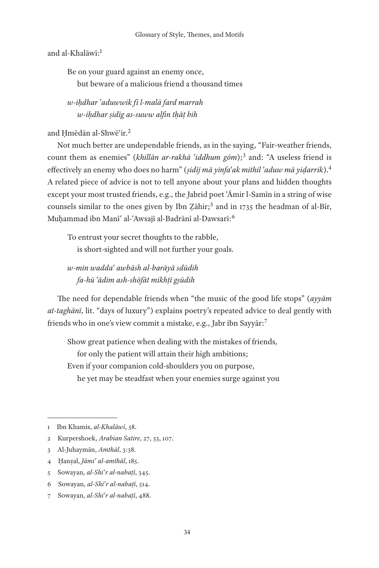and al-Khalāwī:1

Be on your guard against an enemy once, but beware of a malicious friend a thousand times

*w-iḥdhar ʿaduwwik fī l-malā fard marrah w-iḥdhar ṣidīg as-suww alfin tḥāṭ bih*

and Ḥmēdān al-Shwēʿir.2

Not much better are undependable friends, as in the saying, "Fair-weather friends, count them as enemies" (*khillān ar-rakhā ʿiddhum gōm*);3 and: "A useless friend is effectively an enemy who does no harm" (*ṣidīj mā yinfaʿak mithil ʿaduw mā yiḍarrik*).4 A related piece of advice is not to tell anyone about your plans and hidden thoughts except your most trusted friends, e.g., the Jabrid poet ʿĀmir l-Samīn in a string of wise counsels similar to the ones given by Ibn Zāhir;<sup>5</sup> and in 1735 the headman of al-Bīr, Muḥammad ibn Manīʿ al-ʿAwsajī al-Badrānī al-Dawsarī:6

To entrust your secret thoughts to the rabble, is short-sighted and will not further your goals.

*w-min waddaʿ awbāsh al-barāyā sdūdih fa-hū ʿādim ash-shōfāt mikhṭī gṣūdih*

The need for dependable friends when "the music of the good life stops" (*ayyām at-taghānī*, lit. "days of luxury") explains poetry's repeated advice to deal gently with friends who in one's view commit a mistake, e.g., Jabr ibn Sayyār:7

Show great patience when dealing with the mistakes of friends, for only the patient will attain their high ambitions; Even if your companion cold-shoulders you on purpose, he yet may be steadfast when your enemies surge against you

<sup>1</sup> Ibn Khamis, *al-Khalāwī*, 58.

<sup>2</sup> Kurpershoek, *Arabian Satire*, 27, 53, 107.

<sup>3</sup> Al-Juhaymān, *Amthāl*, 3:38.

<sup>4</sup> Ḥanẓal, *Jāmiʿ al-amthāl*, 185.

<sup>5</sup> Sowayan, *al-Shiʿr al-nabaṭī*, 345.

<sup>6</sup> Sowayan, *al-Shiʿr al-nabaṭī*, 514.

<sup>7</sup> Sowayan, *al-Shiʿr al-nabaṭī*, 488.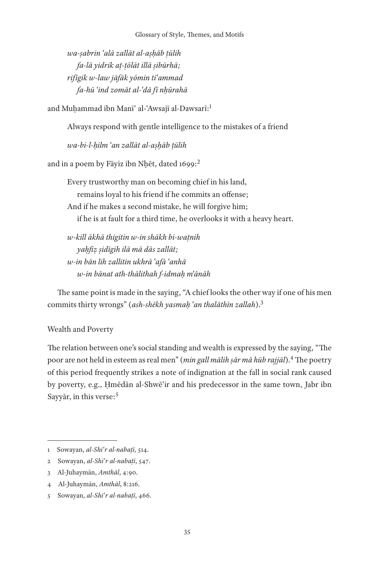*wa-ṣabrin ʿalā zallāt al-aṣḥāb ṭūlih fa-lā yidrik aṭ-ṭōlāt illā ṣibūrhā; rifīgik w-law jāfāk yōmin tiʿammad fa-hū ʿind zomāt al-ʿdā fī nḥūrahā*

and Muhammad ibn Manī' al-'Awsajī al-Dawsarī:<sup>1</sup>

Always respond with gentle intelligence to the mistakes of a friend

*wa-bi-l-ḥilm ʿan zallāt al-aṣḥāb ṭūlih*

and in a poem by Fāyiz ibn Nhēt, dated 1699:<sup>2</sup>

Every trustworthy man on becoming chief in his land, remains loyal to his friend if he commits an offense; And if he makes a second mistake, he will forgive him; if he is at fault for a third time, he overlooks it with a heavy heart.

*w-kill ākhā thigitin w-in shākh bi-waṭnih yaḥfiẓ ṣidīgih ilā mā dās zallāt; w-in bān lih zallitin ukhrā ʿafā ʿanhā w-in bānat ath-thālithah f-idmaḥ mʿānāh*

The same point is made in the saying, "A chief looks the other way if one of his men commits thirty wrongs" (*ash-shēkh yasmaḥ ʿan thalāthīn zallah*).3

## Wealth and Poverty

The relation between one's social standing and wealth is expressed by the saying, "The poor are not held in esteem as real men" (*min gall mālih ṣār mā hūb rajjāl*).4 The poetry of this period frequently strikes a note of indignation at the fall in social rank caused by poverty, e.g., Ḥmēdān al-Shwēʿir and his predecessor in the same town, Jabr ibn Sayyār, in this verse:<sup>5</sup>

4 Al-Juhaymān, *Amthāl*, 8:216.

<sup>1</sup> Sowayan, *al-Shiʿr al-nabaṭī*, 514.

<sup>2</sup> Sowayan, *al-Shiʿr al-nabaṭī*, 547.

<sup>3</sup> Al-Juhaymān, *Amthāl*, 4:90.

<sup>5</sup> Sowayan, *al-Shiʿr al-nabaṭī*, 466.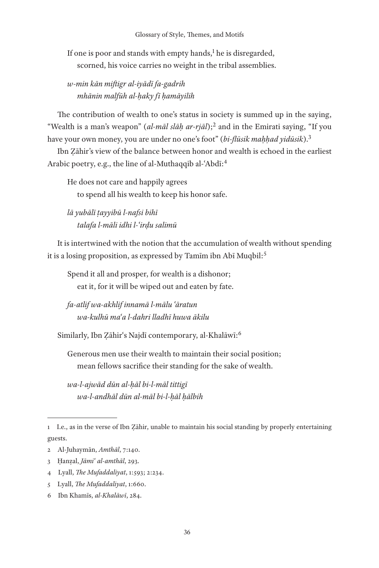If one is poor and stands with empty hands,<sup>1</sup> he is disregarded, scorned, his voice carries no weight in the tribal assemblies.

*w-min kān miftigr al-iyādī fa-gadrih mhānin malfūh al-ḥaky fī ḥamāyilih*

The contribution of wealth to one's status in society is summed up in the saying, "Wealth is a man's weapon" (*al-māl slāh ar-rjāl*);<sup>2</sup> and in the Emirati saying, "If you have your own money, you are under no one's foot" (*bi-flūsik maḥḥad yidūsik*).3

Ibn Ẓāhir's view of the balance between honor and wealth is echoed in the earliest Arabic poetry, e.g., the line of al-Muthaqqib al-ʿAbdī:4

He does not care and happily agrees to spend all his wealth to keep his honor safe.

*lā yubālī ṭayyibū l-nafsi bihī talafa l-māli idhi l-ʿirḍu salimū*

It is intertwined with the notion that the accumulation of wealth without spending it is a losing proposition, as expressed by Tamīm ibn Abī Muqbil:<sup>5</sup>

Spend it all and prosper, for wealth is a dishonor; eat it, for it will be wiped out and eaten by fate.

*fa-atlif wa-akhlif innamā l-mālu ʿāratun wa-kulhū maʿa l-dahri lladhī huwa ākilu*

Similarly, Ibn Zāhir's Najdī contemporary, al-Khalāwī:<sup>6</sup>

Generous men use their wealth to maintain their social position; mean fellows sacrifice their standing for the sake of wealth.

*wa-l-ajwād dūn al-ḥāl bi-l-māl tittigī wa-l-andhāl dūn al-māl bi-l-ḥāl ḥālbih*

- 5 Lyall, *The Mufaddaliyat*, 1:660.
- 6 Ibn Khamīs, *al-Khalāwī*, 284.

<sup>1</sup> I.e., as in the verse of Ibn Ẓāhir, unable to maintain his social standing by properly entertaining guests.

<sup>2</sup> Al-Juhaymān, *Amthāl*, 7:140.

<sup>3</sup> Ḥanẓal, *Jāmiʿ al-amthāl*, 293.

<sup>4</sup> Lyall, *The Mufaddaliyat*, 1:593; 2:234.